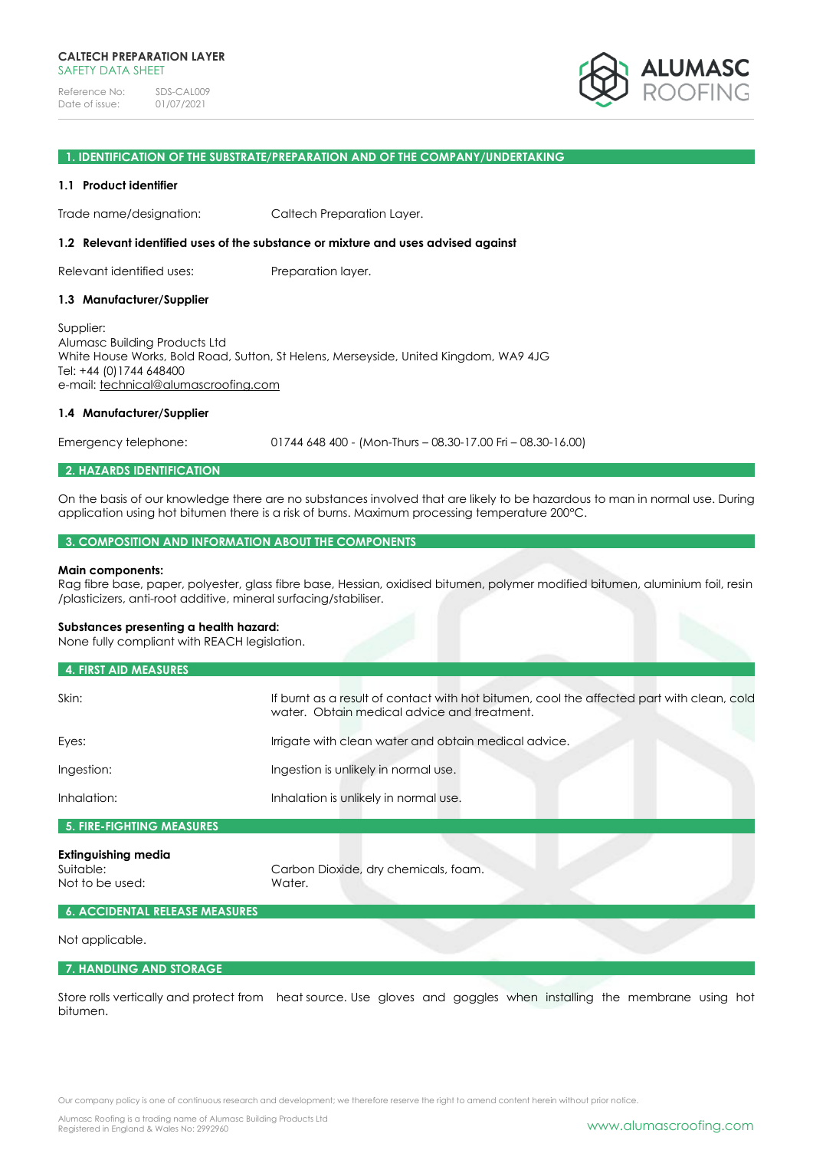Reference No: SDS-CAL009<br>Date of issue: 01/07/2021 Date of issue:



#### **1. IDENTIFICATION OF THE SUBSTRATE/PREPARATION AND OF THE COMPANY/UNDERTAKING**

#### **1.1 Product identifier**

Trade name/designation: Caltech Preparation Layer.

#### **1.2 Relevant identified uses of the substance or mixture and uses advised against**

Relevant identified uses: Preparation layer.

#### **1.3 Manufacturer/Supplier**

Supplier: Alumasc Building Products Ltd White House Works, Bold Road, Sutton, St Helens, Merseyside, United Kingdom, WA9 4JG Tel: +44 (0)1744 648400 e-mail: [technical@alumascroofing.com](mailto:technical@alumascroofing.com)

#### **1.4 Manufacturer/Supplier**

Emergency telephone: 01744 648 400 - (Mon-Thurs – 08.30-17.00 Fri – 08.30-16.00)

# **2. HAZARDS IDENTIFICATION**

On the basis of our knowledge there are no substances involved that are likely to be hazardous to man in normal use. During application using hot bitumen there is a risk of burns. Maximum processing temperature 200°C.

#### **3. COMPOSITION AND INFORMATION ABOUT THE COMPONENTS**

#### **Main components:**

Rag fibre base, paper, polyester, glass fibre base, Hessian, oxidised bitumen, polymer modified bitumen, aluminium foil, resin /plasticizers, anti-root additive, mineral surfacing/stabiliser.

#### **Substances presenting a health hazard:**

None fully compliant with REACH legislation.

| 4. FIRST AID MEASURES     |                                                                                                                                          |  |
|---------------------------|------------------------------------------------------------------------------------------------------------------------------------------|--|
| Skin:                     | If burnt as a result of contact with hot bitumen, cool the affected part with clean, cold<br>water. Obtain medical advice and treatment. |  |
| Eyes:                     | Irrigate with clean water and obtain medical advice.                                                                                     |  |
| Ingestion:                | Ingestion is unlikely in normal use.                                                                                                     |  |
| Inhalation:               | Inhalation is unlikely in normal use.                                                                                                    |  |
| 5. FIRE-FIGHTING MEASURES |                                                                                                                                          |  |

## **Extinguishing media** Suitable: Carbon Dioxide, dry chemicals, foam. Not to be used: Water.

#### **6. ACCIDENTAL RELEASE MEASURES**

#### Not applicable.

#### **7. HANDLING AND STORAGE**

Store rolls vertically and protect from heat source. Use gloves and goggles when installing the membrane using hot bitumen.

Our company policy is one of continuous research and development; we therefore reserve the right to amend content herein without prior notice.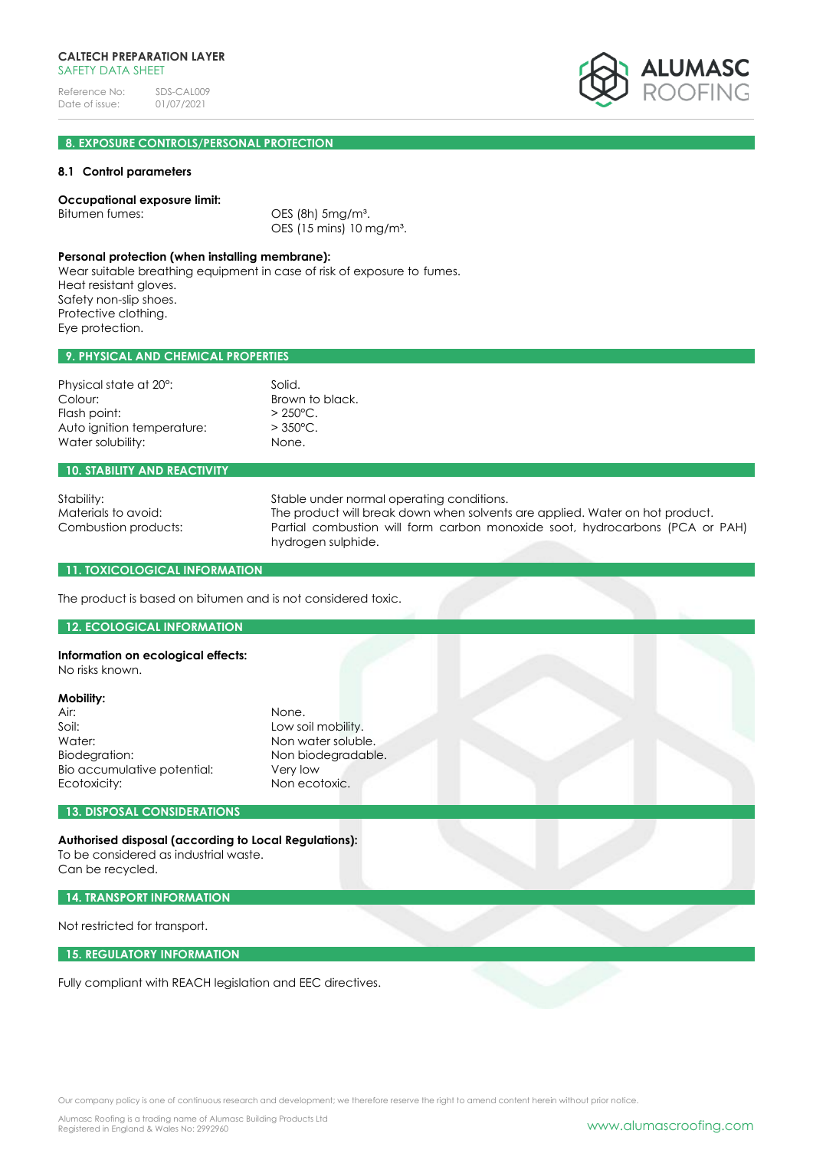## **CALTECH PREPARATION LAYER** SAFETY DATA SHFFT

Reference No: SDS-CAL009<br>Date of issue: 01/07/2021 Date of issue:



# **8. EXPOSURE CONTROLS/PERSONAL PROTECTION**

## **8.1 Control parameters**

## **Occupational exposure limit:**

Bitumen fumes: OES (8h) 5mg/m<sup>3</sup>. OES (15 mins) 10 mg/m³.

#### **Personal protection (when installing membrane):**

Wear suitable breathing equipment in case of risk of exposure to fumes. Heat resistant gloves. Safety non-slip shoes. Protective clothing. Eye protection.

## **9. PHYSICAL AND CHEMICAL PROPERTIES**

| Physical state at 20°:     | Solid.             |
|----------------------------|--------------------|
| Colour:                    | Brown to black.    |
| Flash point:               | $> 250^{\circ}$ C. |
| Auto ignition temperature: | $>$ 350 °C.        |
| Water solubility:          | None.              |

#### **10. STABILITY AND REACTIVITY**

Stability: Stable under normal operating conditions. Materials to avoid: The product will break down when solvents are applied. Water on hot product. Combustion products: Partial combustion will form carbon monoxide soot, hydrocarbons (PCA or PAH) hydrogen sulphide.

## **11. TOXICOLOGICAL INFORMATION**

The product is based on bitumen and is not considered toxic.

#### **12. ECOLOGICAL INFORMATION**

# **Information on ecological effects:**

No risks known.

# **Mobility:**

| Air:                        | None.              |
|-----------------------------|--------------------|
| Soil:                       | Low soil mobility. |
| Water:                      | Non water soluble. |
| Biodegration:               | Non biodegradable. |
| Bio accumulative potential: | Very low           |
| Ecotoxicity:                | Non ecotoxic.      |
|                             |                    |

# **13. DISPOSAL CONSIDERATIONS**

## **Authorised disposal (according to Local Regulations):**

To be considered as industrial waste. Can be recycled.

**14. TRANSPORT INFORMATION**

Not restricted for transport.

#### **15. REGULATORY INFORMATION**

Fully compliant with REACH legislation and EEC directives.

Our company policy is one of continuous research and development; we therefore reserve the right to amend content herein without prior notice.